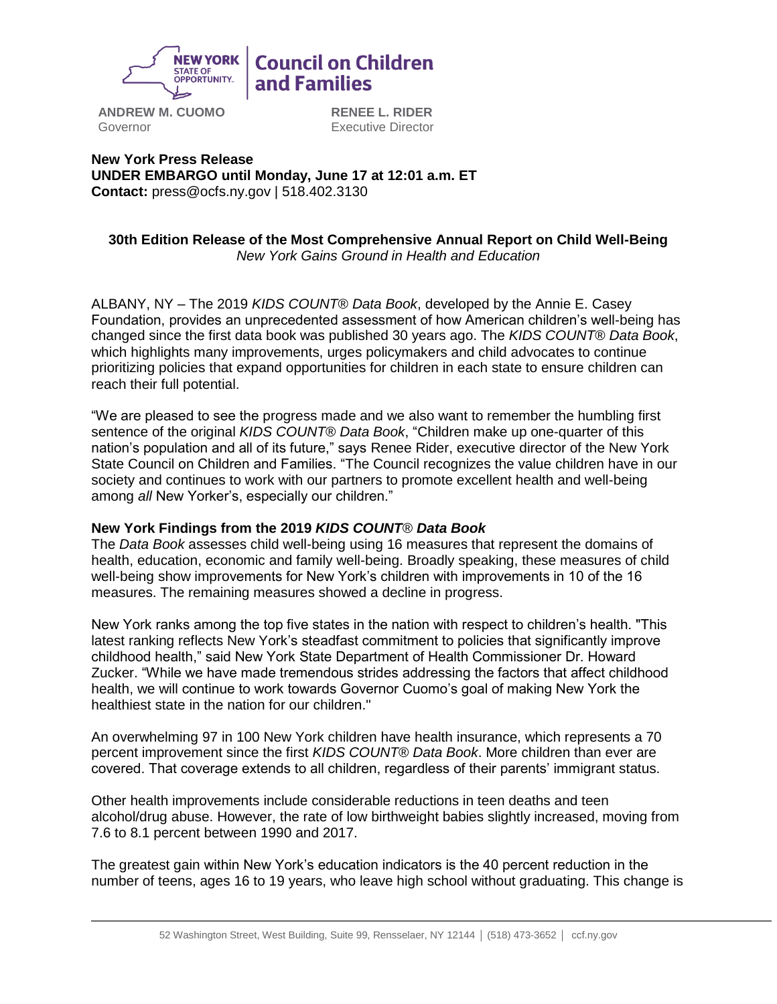

# **Council on Children** and Families

**ANDREW M. CUOMO** Governor

**RENEE L. RIDER** Executive Director

**New York Press Release UNDER EMBARGO until Monday, June 17 at 12:01 a.m. ET Contact:** press@ocfs.ny.gov | 518.402.3130

#### **30th Edition Release of the Most Comprehensive Annual Report on Child Well-Being** *New York Gains Ground in Health and Education*

ALBANY, NY – The 2019 *KIDS COUNT*® *Data Book*, developed by the Annie E. Casey Foundation, provides an unprecedented assessment of how American children's well-being has changed since the first data book was published 30 years ago. The *KIDS COUNT*® *Data Book*, which highlights many improvements, urges policymakers and child advocates to continue prioritizing policies that expand opportunities for children in each state to ensure children can reach their full potential.

"We are pleased to see the progress made and we also want to remember the humbling first sentence of the original *KIDS COUNT*® *Data Book*, "Children make up one-quarter of this nation's population and all of its future," says Renee Rider, executive director of the New York State Council on Children and Families. "The Council recognizes the value children have in our society and continues to work with our partners to promote excellent health and well-being among *all* New Yorker's, especially our children."

# **New York Findings from the 2019** *KIDS COUNT*® *Data Book*

The *Data Book* assesses child well-being using 16 measures that represent the domains of health, education, economic and family well-being. Broadly speaking, these measures of child well-being show improvements for New York's children with improvements in 10 of the 16 measures. The remaining measures showed a decline in progress.

New York ranks among the top five states in the nation with respect to children's health. "This latest ranking reflects New York's steadfast commitment to policies that significantly improve childhood health," said New York State Department of Health Commissioner Dr. Howard Zucker. "While we have made tremendous strides addressing the factors that affect childhood health, we will continue to work towards Governor Cuomo's goal of making New York the healthiest state in the nation for our children."

An overwhelming 97 in 100 New York children have health insurance, which represents a 70 percent improvement since the first *KIDS COUNT*® *Data Book*. More children than ever are covered. That coverage extends to all children, regardless of their parents' immigrant status.

Other health improvements include considerable reductions in teen deaths and teen alcohol/drug abuse. However, the rate of low birthweight babies slightly increased, moving from 7.6 to 8.1 percent between 1990 and 2017.

The greatest gain within New York's education indicators is the 40 percent reduction in the number of teens, ages 16 to 19 years, who leave high school without graduating. This change is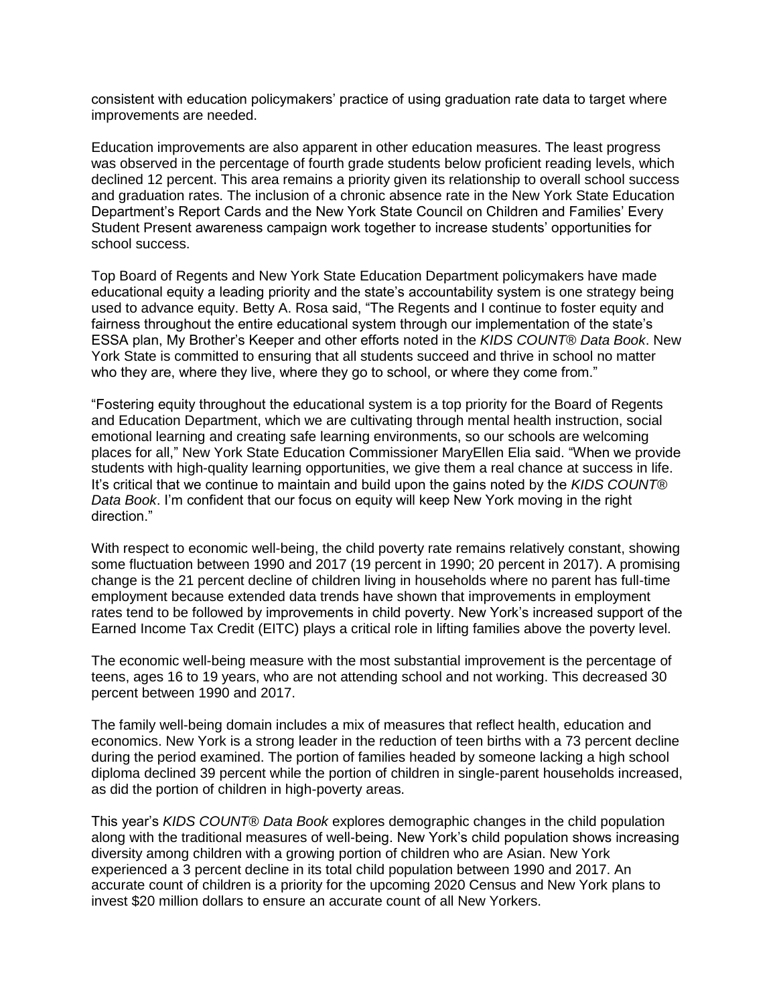consistent with education policymakers' practice of using graduation rate data to target where improvements are needed.

Education improvements are also apparent in other education measures. The least progress was observed in the percentage of fourth grade students below proficient reading levels, which declined 12 percent. This area remains a priority given its relationship to overall school success and graduation rates. The inclusion of a chronic absence rate in the New York State Education Department's Report Cards and the New York State Council on Children and Families' Every Student Present awareness campaign work together to increase students' opportunities for school success.

Top Board of Regents and New York State Education Department policymakers have made educational equity a leading priority and the state's accountability system is one strategy being used to advance equity. Betty A. Rosa said, "The Regents and I continue to foster equity and fairness throughout the entire educational system through our implementation of the state's ESSA plan, My Brother's Keeper and other efforts noted in the *KIDS COUNT*® *Data Book*. New York State is committed to ensuring that all students succeed and thrive in school no matter who they are, where they live, where they go to school, or where they come from."

"Fostering equity throughout the educational system is a top priority for the Board of Regents and Education Department, which we are cultivating through mental health instruction, social emotional learning and creating safe learning environments, so our schools are welcoming places for all," New York State Education Commissioner MaryEllen Elia said. "When we provide students with high-quality learning opportunities, we give them a real chance at success in life. It's critical that we continue to maintain and build upon the gains noted by the *KIDS COUNT*® *Data Book*. I'm confident that our focus on equity will keep New York moving in the right direction."

With respect to economic well-being, the child poverty rate remains relatively constant, showing some fluctuation between 1990 and 2017 (19 percent in 1990; 20 percent in 2017). A promising change is the 21 percent decline of children living in households where no parent has full-time employment because extended data trends have shown that improvements in employment rates tend to be followed by improvements in child poverty. New York's increased support of the Earned Income Tax Credit (EITC) plays a critical role in lifting families above the poverty level.

The economic well-being measure with the most substantial improvement is the percentage of teens, ages 16 to 19 years, who are not attending school and not working. This decreased 30 percent between 1990 and 2017.

The family well-being domain includes a mix of measures that reflect health, education and economics. New York is a strong leader in the reduction of teen births with a 73 percent decline during the period examined. The portion of families headed by someone lacking a high school diploma declined 39 percent while the portion of children in single-parent households increased, as did the portion of children in high-poverty areas.

This year's *KIDS COUNT*® *Data Book* explores demographic changes in the child population along with the traditional measures of well-being. New York's child population shows increasing diversity among children with a growing portion of children who are Asian. New York experienced a 3 percent decline in its total child population between 1990 and 2017. An accurate count of children is a priority for the upcoming 2020 Census and New York plans to invest \$20 million dollars to ensure an accurate count of all New Yorkers.